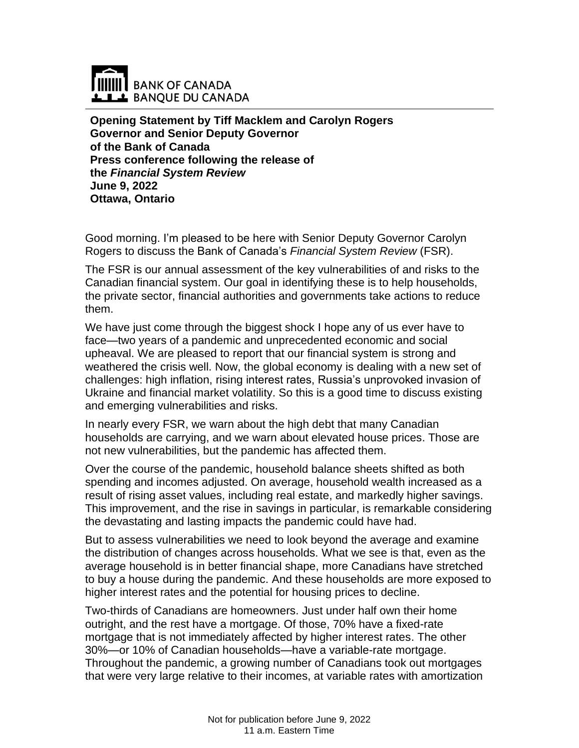

**Opening Statement by Tiff Macklem and Carolyn Rogers Governor and Senior Deputy Governor of the Bank of Canada Press conference following the release of the** *Financial System Review* **June 9, 2022 Ottawa, Ontario**

Good morning. I'm pleased to be here with Senior Deputy Governor Carolyn Rogers to discuss the Bank of Canada's *Financial System Review* (FSR).

The FSR is our annual assessment of the key vulnerabilities of and risks to the Canadian financial system. Our goal in identifying these is to help households, the private sector, financial authorities and governments take actions to reduce them.

We have just come through the biggest shock I hope any of us ever have to face—two years of a pandemic and unprecedented economic and social upheaval. We are pleased to report that our financial system is strong and weathered the crisis well. Now, the global economy is dealing with a new set of challenges: high inflation, rising interest rates, Russia's unprovoked invasion of Ukraine and financial market volatility. So this is a good time to discuss existing and emerging vulnerabilities and risks.

In nearly every FSR, we warn about the high debt that many Canadian households are carrying, and we warn about elevated house prices. Those are not new vulnerabilities, but the pandemic has affected them.

Over the course of the pandemic, household balance sheets shifted as both spending and incomes adjusted. On average, household wealth increased as a result of rising asset values, including real estate, and markedly higher savings. This improvement, and the rise in savings in particular, is remarkable considering the devastating and lasting impacts the pandemic could have had.

But to assess vulnerabilities we need to look beyond the average and examine the distribution of changes across households. What we see is that, even as the average household is in better financial shape, more Canadians have stretched to buy a house during the pandemic. And these households are more exposed to higher interest rates and the potential for housing prices to decline.

Two-thirds of Canadians are homeowners. Just under half own their home outright, and the rest have a mortgage. Of those, 70% have a fixed-rate mortgage that is not immediately affected by higher interest rates. The other 30%—or 10% of Canadian households—have a variable-rate mortgage. Throughout the pandemic, a growing number of Canadians took out mortgages that were very large relative to their incomes, at variable rates with amortization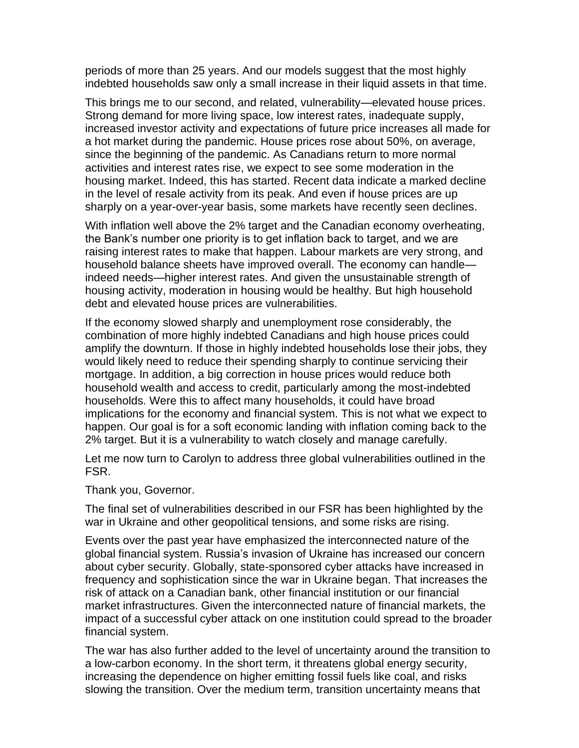periods of more than 25 years. And our models suggest that the most highly indebted households saw only a small increase in their liquid assets in that time.

This brings me to our second, and related, vulnerability—elevated house prices. Strong demand for more living space, low interest rates, inadequate supply, increased investor activity and expectations of future price increases all made for a hot market during the pandemic. House prices rose about 50%, on average, since the beginning of the pandemic. As Canadians return to more normal activities and interest rates rise, we expect to see some moderation in the housing market. Indeed, this has started. Recent data indicate a marked decline in the level of resale activity from its peak. And even if house prices are up sharply on a year-over-year basis, some markets have recently seen declines.

With inflation well above the 2% target and the Canadian economy overheating, the Bank's number one priority is to get inflation back to target, and we are raising interest rates to make that happen. Labour markets are very strong, and household balance sheets have improved overall. The economy can handle indeed needs—higher interest rates. And given the unsustainable strength of housing activity, moderation in housing would be healthy. But high household debt and elevated house prices are vulnerabilities.

If the economy slowed sharply and unemployment rose considerably, the combination of more highly indebted Canadians and high house prices could amplify the downturn. If those in highly indebted households lose their jobs, they would likely need to reduce their spending sharply to continue servicing their mortgage. In addition, a big correction in house prices would reduce both household wealth and access to credit, particularly among the most-indebted households. Were this to affect many households, it could have broad implications for the economy and financial system. This is not what we expect to happen. Our goal is for a soft economic landing with inflation coming back to the 2% target. But it is a vulnerability to watch closely and manage carefully.

Let me now turn to Carolyn to address three global vulnerabilities outlined in the FSR.

## Thank you, Governor.

The final set of vulnerabilities described in our FSR has been highlighted by the war in Ukraine and other geopolitical tensions, and some risks are rising.

Events over the past year have emphasized the interconnected nature of the global financial system. Russia's invasion of Ukraine has increased our concern about cyber security. Globally, state-sponsored cyber attacks have increased in frequency and sophistication since the war in Ukraine began. That increases the risk of attack on a Canadian bank, other financial institution or our financial market infrastructures. Given the interconnected nature of financial markets, the impact of a successful cyber attack on one institution could spread to the broader financial system.

The war has also further added to the level of uncertainty around the transition to a low-carbon economy. In the short term, it threatens global energy security, increasing the dependence on higher emitting fossil fuels like coal, and risks slowing the transition. Over the medium term, transition uncertainty means that